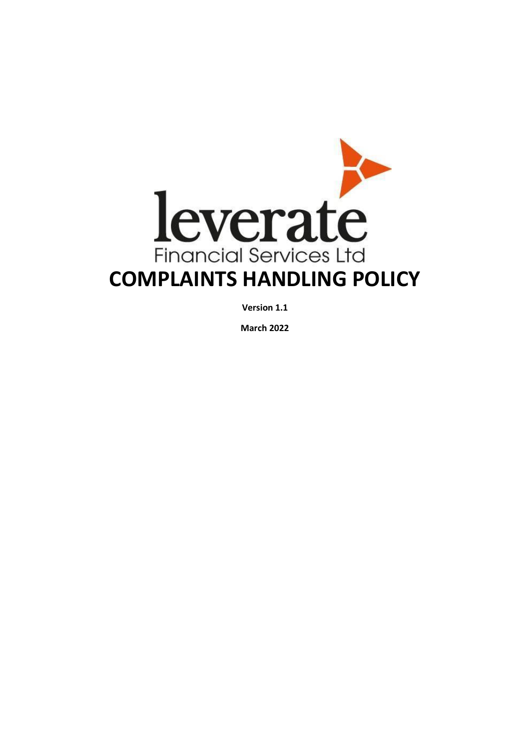

**Version 1.1**

**March 2022**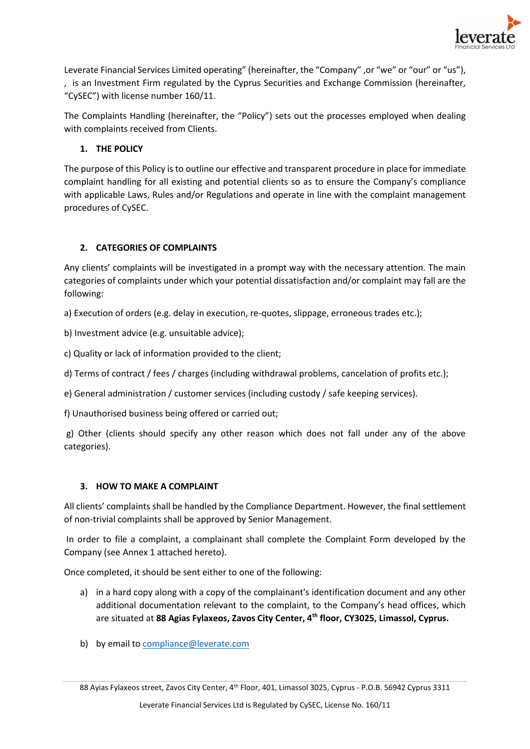

Leverate Financial Services Limited operating" (hereinafter, the "Company" ,or "we" or "our" or "us"), , is an Investment Firm regulated by the Cyprus Securities and Exchange Commission (hereinafter, "CySEC") with license number 160/11.

The Complaints Handling (hereinafter, the "Policy") sets out the processes employed when dealing with complaints received from Clients.

# **1. THE POLICY**

The purpose of this Policy is to outline our effective and transparent procedure in place for immediate complaint handling for all existing and potential clients so as to ensure the Company's compliance with applicable Laws, Rules and/or Regulations and operate in line with the complaint management procedures of CySEC.

# **2. CATEGORIES OF COMPLAINTS**

Any clients' complaints will be investigated in a prompt way with the necessary attention. The main categories of complaints under which your potential dissatisfaction and/or complaint may fall are the following:

a) Execution of orders (e.g. delay in execution, re-quotes, slippage, erroneous trades etc.);

b) Investment advice (e.g. unsuitable advice);

c) Quality or lack of information provided to the client;

d) Terms of contract / fees / charges (including withdrawal problems, cancelation of profits etc.);

e) General administration / customer services (including custody / safe keeping services).

f) Unauthorised business being offered or carried out;

g) Other (clients should specify any other reason which does not fall under any of the above categories).

## **3. HOW TO MAKE A COMPLAINT**

All clients' complaints shall be handled by the Compliance Department. However, the final settlement of non-trivial complaints shall be approved by Senior Management.

In order to file a complaint, a complainant shall complete the Complaint Form developed by the Company (see Annex 1 attached hereto).

Once completed, it should be sent either to one of the following:

- a) in a hard copy along with a copy of the complainant's identification document and any other additional documentation relevant to the complaint, to the Company's head offices, which are situated at **88 Agias Fylaxeos, Zavos City Center, 4th floor, CY3025, Limassol, Cyprus.**
- b) by email to [compliance@leverate.com](mailto:compliance@leverate.com)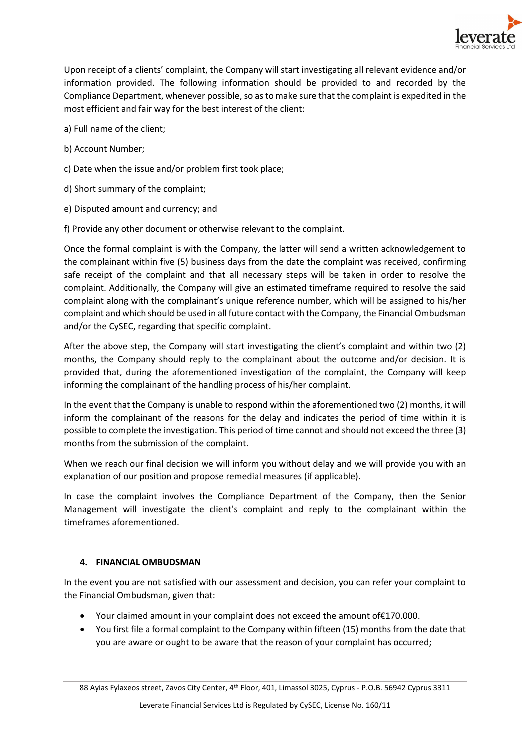

Upon receipt of a clients' complaint, the Company will start investigating all relevant evidence and/or information provided. The following information should be provided to and recorded by the Compliance Department, whenever possible, so as to make sure that the complaint is expedited in the most efficient and fair way for the best interest of the client:

- a) Full name of the client;
- b) Account Number;
- c) Date when the issue and/or problem first took place;
- d) Short summary of the complaint;
- e) Disputed amount and currency; and
- f) Provide any other document or otherwise relevant to the complaint.

Once the formal complaint is with the Company, the latter will send a written acknowledgement to the complainant within five (5) business days from the date the complaint was received, confirming safe receipt of the complaint and that all necessary steps will be taken in order to resolve the complaint. Additionally, the Company will give an estimated timeframe required to resolve the said complaint along with the complainant's unique reference number, which will be assigned to his/her complaint and which should be used in all future contact with the Company, the Financial Ombudsman and/or the CySEC, regarding that specific complaint.

After the above step, the Company will start investigating the client's complaint and within two (2) months, the Company should reply to the complainant about the outcome and/or decision. It is provided that, during the aforementioned investigation of the complaint, the Company will keep informing the complainant of the handling process of his/her complaint.

In the event that the Company is unable to respond within the aforementioned two (2) months, it will inform the complainant of the reasons for the delay and indicates the period of time within it is possible to complete the investigation. This period of time cannot and should not exceed the three (3) months from the submission of the complaint.

When we reach our final decision we will inform you without delay and we will provide you with an explanation of our position and propose remedial measures (if applicable).

In case the complaint involves the Compliance Department of the Company, then the Senior Management will investigate the client's complaint and reply to the complainant within the timeframes aforementioned.

## **4. FINANCIAL OMBUDSMAN**

In the event you are not satisfied with our assessment and decision, you can refer your complaint to the Financial Ombudsman, given that:

- Your claimed amount in your complaint does not exceed the amount of€170.000.
- You first file a formal complaint to the Company within fifteen (15) months from the date that you are aware or ought to be aware that the reason of your complaint has occurred;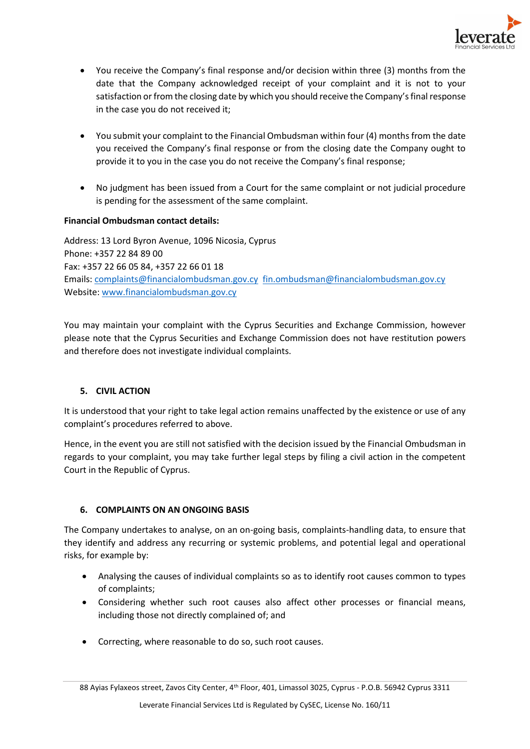

- You receive the Company's final response and/or decision within three (3) months from the date that the Company acknowledged receipt of your complaint and it is not to your satisfaction or from the closing date by which you should receive the Company's final response in the case you do not received it;
- You submit your complaint to the Financial Ombudsman within four (4) months from the date you received the Company's final response or from the closing date the Company ought to provide it to you in the case you do not receive the Company's final response;
- No judgment has been issued from a Court for the same complaint or not judicial procedure is pending for the assessment of the same complaint.

## **Financial Ombudsman contact details:**

Address: 13 Lord Byron Avenue, 1096 Nicosia, Cyprus Phone: +357 22 84 89 00 Fax: +357 22 66 05 84, +357 22 66 01 18 Emails: [complaints@financialombudsman.gov.cy](mailto:complaints@financialombudsman.gov.cy) [fin.ombudsman@financialombudsman.gov.cy](mailto:fin.ombudsman@financialombudsman.gov.cy) Website[: www.financialombudsman.gov.cy](http://www.financialombudsman.gov.cy/)

You may maintain your complaint with the Cyprus Securities and Exchange Commission, however please note that the Cyprus Securities and Exchange Commission does not have restitution powers and therefore does not investigate individual complaints.

## **5. CIVIL ACTION**

It is understood that your right to take legal action remains unaffected by the existence or use of any complaint's procedures referred to above.

Hence, in the event you are still not satisfied with the decision issued by the Financial Ombudsman in regards to your complaint, you may take further legal steps by filing a civil action in the competent Court in the Republic of Cyprus.

## **6. COMPLAINTS ON AN ONGOING BASIS**

The Company undertakes to analyse, on an on-going basis, complaints-handling data, to ensure that they identify and address any recurring or systemic problems, and potential legal and operational risks, for example by:

- Analysing the causes of individual complaints so as to identify root causes common to types of complaints;
- Considering whether such root causes also affect other processes or financial means, including those not directly complained of; and
- Correcting, where reasonable to do so, such root causes.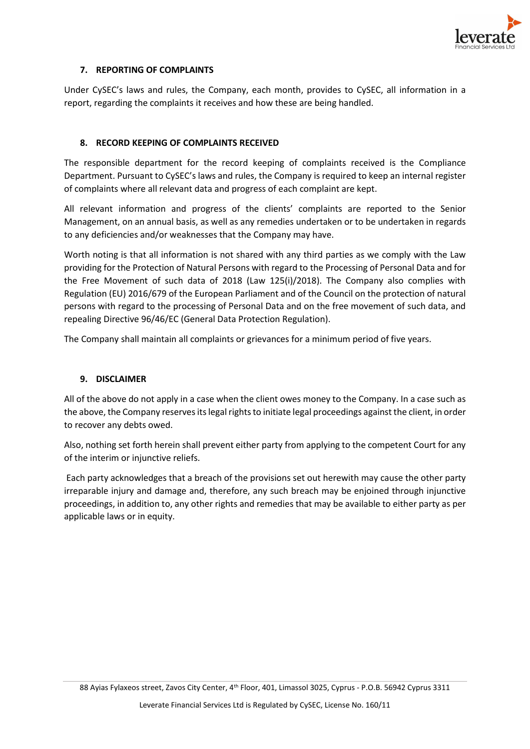

## **7. REPORTING OF COMPLAINTS**

Under CySEC's laws and rules, the Company, each month, provides to CySEC, all information in a report, regarding the complaints it receives and how these are being handled.

## **8. RECORD KEEPING OF COMPLAINTS RECEIVED**

The responsible department for the record keeping of complaints received is the Compliance Department. Pursuant to CySEC's laws and rules, the Company is required to keep an internal register of complaints where all relevant data and progress of each complaint are kept.

All relevant information and progress of the clients' complaints are reported to the Senior Management, on an annual basis, as well as any remedies undertaken or to be undertaken in regards to any deficiencies and/or weaknesses that the Company may have.

Worth noting is that all information is not shared with any third parties as we comply with the Law providing for the Protection of Natural Persons with regard to the Processing of Personal Data and for the Free Movement of such data of 2018 (Law 125(i)/2018). The Company also complies with Regulation (EU) 2016/679 of the European Parliament and of the Council on the protection of natural persons with regard to the processing of Personal Data and on the free movement of such data, and repealing Directive 96/46/EC (General Data Protection Regulation).

The Company shall maintain all complaints or grievances for a minimum period of five years.

## **9. DISCLAIMER**

All of the above do not apply in a case when the client owes money to the Company. In a case such as the above, the Company reserves its legal rights to initiate legal proceedings against the client, in order to recover any debts owed.

Also, nothing set forth herein shall prevent either party from applying to the competent Court for any of the interim or injunctive reliefs.

Each party acknowledges that a breach of the provisions set out herewith may cause the other party irreparable injury and damage and, therefore, any such breach may be enjoined through injunctive proceedings, in addition to, any other rights and remedies that may be available to either party as per applicable laws or in equity.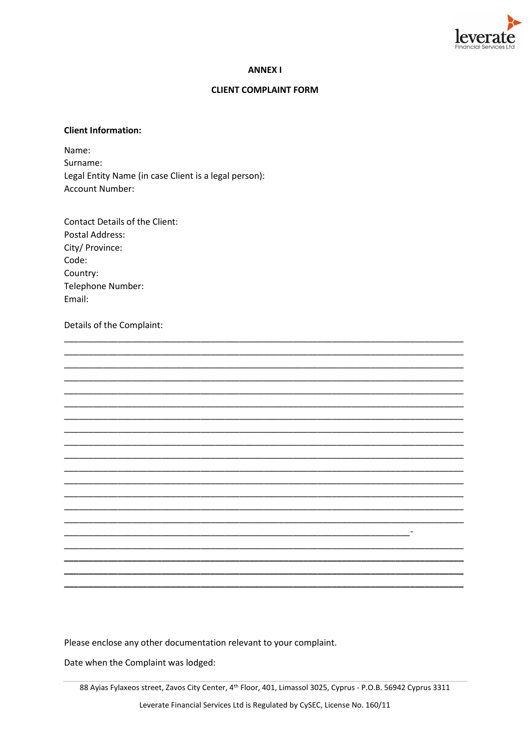

### **ANNEX I**

### **CLIENT COMPLAINT FORM**

### **Client Information:**

Name: Surname: Legal Entity Name (in case Client is a legal person): Account Number:

**Contact Details of the Client: Postal Address:** City/ Province: Code: Country: Telephone Number: Email:

Details of the Complaint:

Please enclose any other documentation relevant to your complaint.

Date when the Complaint was lodged:

and the state of the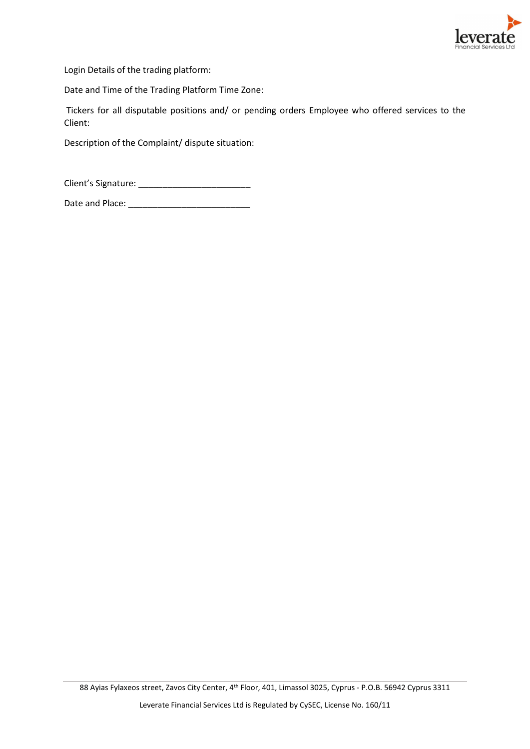

Login Details of the trading platform:

Date and Time of the Trading Platform Time Zone:

Tickers for all disputable positions and/ or pending orders Employee who offered services to the Client:

Description of the Complaint/ dispute situation:

Client's Signature: \_\_\_\_\_\_\_\_\_\_\_\_\_\_\_\_\_\_\_\_\_\_\_

Date and Place: \_\_\_\_\_\_\_\_\_\_\_\_\_\_\_\_\_\_\_\_\_\_\_\_\_